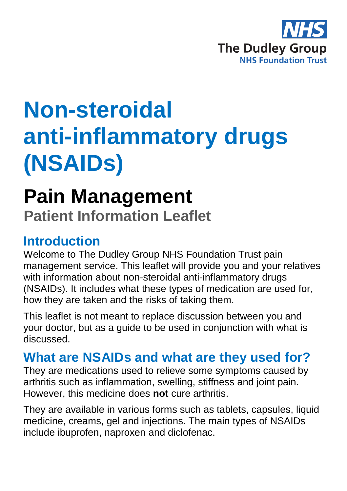

# **Non-steroidal anti-inflammatory drugs (NSAIDs)**

## **Pain Management**

**Patient Information Leaflet**

## **Introduction**

Welcome to The Dudley Group NHS Foundation Trust pain management service. This leaflet will provide you and your relatives with information about non-steroidal anti-inflammatory drugs (NSAIDs). It includes what these types of medication are used for, how they are taken and the risks of taking them.

This leaflet is not meant to replace discussion between you and your doctor, but as a guide to be used in conjunction with what is discussed.

### **What are NSAIDs and what are they used for?**

They are medications used to relieve some symptoms caused by arthritis such as inflammation, swelling, stiffness and joint pain. However, this medicine does **not** cure arthritis.

They are available in various forms such as tablets, capsules, liquid medicine, creams, gel and injections. The main types of NSAIDs include ibuprofen, naproxen and diclofenac.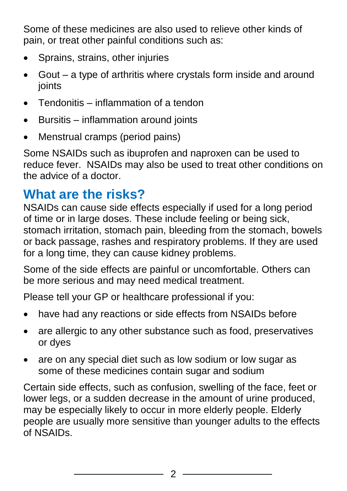Some of these medicines are also used to relieve other kinds of pain, or treat other painful conditions such as:

- Sprains, strains, other injuries
- Gout a type of arthritis where crystals form inside and around ioints
- Tendonitis inflammation of a tendon
- Bursitis inflammation around joints
- Menstrual cramps (period pains)

Some NSAIDs such as ibuprofen and naproxen can be used to reduce fever. NSAIDs may also be used to treat other conditions on the advice of a doctor.

## **What are the risks?**

NSAIDs can cause side effects especially if used for a long period of time or in large doses. These include feeling or being sick, stomach irritation, stomach pain, bleeding from the stomach, bowels or back passage, rashes and respiratory problems. If they are used for a long time, they can cause kidney problems.

Some of the side effects are painful or uncomfortable. Others can be more serious and may need medical treatment.

Please tell your GP or healthcare professional if you:

- have had any reactions or side effects from NSAIDs before
- are allergic to any other substance such as food, preservatives or dyes
- are on any special diet such as low sodium or low sugar as some of these medicines contain sugar and sodium

Certain side effects, such as confusion, swelling of the face, feet or lower legs, or a sudden decrease in the amount of urine produced, may be especially likely to occur in more elderly people. Elderly people are usually more sensitive than younger adults to the effects of NSAIDs.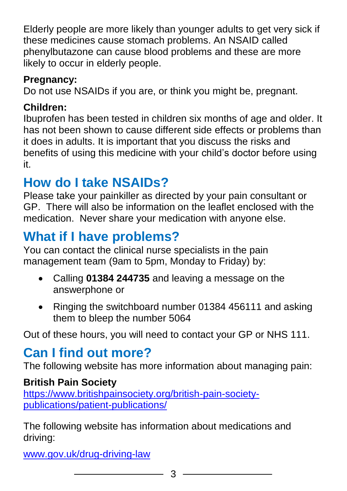Elderly people are more likely than younger adults to get very sick if these medicines cause stomach problems. An NSAID called phenylbutazone can cause blood problems and these are more likely to occur in elderly people.

#### **Pregnancy:**

Do not use NSAIDs if you are, or think you might be, pregnant.

#### **Children:**

Ibuprofen has been tested in children six months of age and older. It has not been shown to cause different side effects or problems than it does in adults. It is important that you discuss the risks and benefits of using this medicine with your child's doctor before using it.

## **How do I take NSAIDs?**

Please take your painkiller as directed by your pain consultant or GP. There will also be information on the leaflet enclosed with the medication. Never share your medication with anyone else.

## **What if I have problems?**

You can contact the clinical nurse specialists in the pain management team (9am to 5pm, Monday to Friday) by:

- Calling **01384 244735** and leaving a message on the answerphone or
- Ringing the switchboard number 01384 456111 and asking them to bleep the number 5064

Out of these hours, you will need to contact your GP or NHS 111.

## **Can I find out more?**

The following website has more information about managing pain:

#### **British Pain Society**

[https://www.britishpainsociety.org/british-pain-society](https://www.britishpainsociety.org/british-pain-society-publications/patient-publications/)[publications/patient-publications/](https://www.britishpainsociety.org/british-pain-society-publications/patient-publications/)

The following website has information about medications and driving:

[www.gov.uk/drug-driving-law](file://///dgohbrkfile/Foundation_Team$/Patient%20Information/Patient%20Information%20Leaflets/Patient%20Information%20Under%20Review/Leaflets%20with%20changes%20in%20progress/Pain%20management%20review_files/www.gov.uk/drug-driving-law)